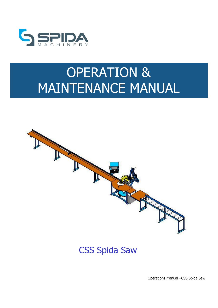

# OPERATION & MAINTENANCE MANUAL



#### CSS Spida Saw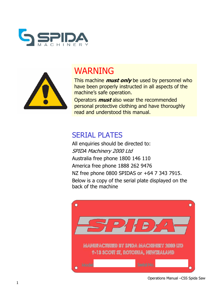



# WARNING

This machine **must only** be used by personnel who have been properly instructed in all aspects of the machine's safe operation.

Operators **must** also wear the recommended personal protective clothing and have thoroughly read and understood this manual.

#### SERIAL PLATES

All enquiries should be directed to: SPIDA Machinery 2000 Ltd Australia free phone 1800 146 110 America free phone 1888 262 9476 NZ free phone 0800 SPIDAS or +64 7 343 7915. Below is a copy of the serial plate displayed on the back of the machine



Operations Manual –CSS Spida Saw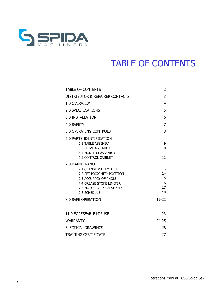

### TABLE OF CONTENTS

| <b>TABLE OF CONTENTS</b>                                                                                                                                                                                                                                                                                      | 2                                                       |
|---------------------------------------------------------------------------------------------------------------------------------------------------------------------------------------------------------------------------------------------------------------------------------------------------------------|---------------------------------------------------------|
| DISTRIBUTOR & REPAIRER CONTACTS                                                                                                                                                                                                                                                                               | 3                                                       |
| 1.0 OVERVIEW                                                                                                                                                                                                                                                                                                  | 4                                                       |
| 2.0 SPECIFICATIONS                                                                                                                                                                                                                                                                                            | 5                                                       |
| 3.0 INSTALLATION                                                                                                                                                                                                                                                                                              | 6                                                       |
| 4.0 SAFETY                                                                                                                                                                                                                                                                                                    | 7                                                       |
| 5.0 OPERATING CONTROLS                                                                                                                                                                                                                                                                                        | 8                                                       |
| 6.0 PARTS IDENTIFICATION<br>6.1 TABLE ASSEMBLY<br>6.2 DRIVE ASSEMBLY<br><b>6.4 MONITOR ASSEMBLY</b><br><b>6.5 CONTROL CABINET</b><br>7.0 MAINTENANCE<br>7.1 CHANGE PULLEY BELT<br>7.2 SET PROXIMITY POSITION<br>7.3 ACCURACY OF ANGLE<br>7.4 GREASE STOKE LIMITER<br>7.5 MOTOR BRAKE ASSEMBLY<br>7.6 SCHEDULE | 9<br>10<br>11<br>12<br>13<br>14<br>15<br>16<br>17<br>18 |
| 8.0 SAFE OPERATION                                                                                                                                                                                                                                                                                            | 19-22                                                   |
|                                                                                                                                                                                                                                                                                                               |                                                         |
| 11.0 FORESEABLE MISUSE                                                                                                                                                                                                                                                                                        | 23                                                      |
| <b>WARRANTY</b>                                                                                                                                                                                                                                                                                               | 24-25                                                   |
| <b>ELECTICAL DRAWINGS</b>                                                                                                                                                                                                                                                                                     | 26                                                      |
| <b>TRAINING CERTIFICATE</b>                                                                                                                                                                                                                                                                                   | 27                                                      |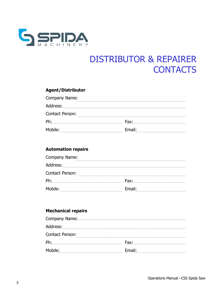

# DISTRIBUTOR & REPAIRER **CONTACTS**

#### **Agent/Distributor**

| Company Name:   |        |
|-----------------|--------|
| Address:        |        |
| Contact Person: |        |
| Ph:             | Fax:   |
| Mobile:         | ⊦mail· |

#### **Automation repairs**

| Company Name:   |        |
|-----------------|--------|
| Address:        |        |
| Contact Person: |        |
| Ph:             | Fax:   |
| Mobile:         | Fmail: |

#### **Mechanical repairs**

| Company Name: 2008 Company Name: |        |
|----------------------------------|--------|
| Address:                         |        |
| Contact Person:                  |        |
| Ph:                              | Fax:   |
| Mobile:                          | Email: |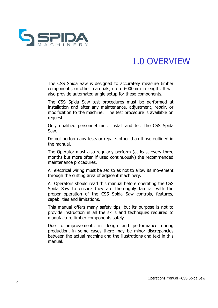

### 1.0 OVERVIEW

The CSS Spida Saw is designed to accurately measure timber components, or other materials, up to 6000mm in length. It will also provide automated angle setup for these components.

The CSS Spida Saw test procedures must be performed at installation and after any maintenance, adjustment, repair, or modification to the machine. The test procedure is available on request.

Only qualified personnel must install and test the CSS Spida Saw.

Do not perform any tests or repairs other than those outlined in the manual.

The Operator must also regularly perform (at least every three months but more often if used continuously) the recommended maintenance procedures.

All electrical wiring must be set so as not to allow its movement through the cutting area of adjacent machinery.

All Operators should read this manual before operating the CSS Spida Saw to ensure they are thoroughly familiar with the proper operation of the CSS Spida Saw controls, features, capabilities and limitations.

This manual offers many safety tips, but its purpose is not to provide instruction in all the skills and techniques required to manufacture timber components safely.

Due to improvements in design and performance during production, in some cases there may be minor discrepancies between the actual machine and the illustrations and text in this manual.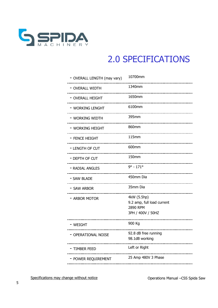

### 2.0 SPECIFICATIONS

| - OVERALL LENGTH (may vary) | 10700mm                                                                    |
|-----------------------------|----------------------------------------------------------------------------|
| - OVERALL WIDTH             | 1340mm<br>--------------------------                                       |
| - OVERALL HEIGHT            | 1650mm                                                                     |
| – Working Lenght            | 6100mm<br>_______________________________                                  |
| – Working Width             | 395mm<br>___________________________________                               |
| - WORKING HEIGHT            | 860mm<br>--------------------------------                                  |
| - FENCE HEIGHT              | $115$ mm<br>--------------------------                                     |
| - LENGTH OF CUT             | 600mm<br>--------------------------------                                  |
| - DEPTH OF CUT              | 150mm<br>-------------------                                               |
| - RADIAL ANGLES             | $9^{\circ} - 171^{\circ}$                                                  |
| - SAW BLADE                 | 450mm Dia<br>---------------                                               |
| - SAW ARBOR                 | 35mm Dia                                                                   |
| - ARBOR MOTOR               | 4kW (5.5hp)<br>9.2 amp, full load current<br>2890 RPM<br>3PH / 400V / 50HZ |
| - Weight                    | 900 Kg                                                                     |
| - OPERATIONAL NOISE         | 92.8 dB free running<br>98.1dB working                                     |
| – TIMBER FEED               | Left or Right                                                              |
| - POWER REQUIREMENT         | 25 Amp 480V 3 Phase                                                        |
|                             |                                                                            |

Specifications may change without notice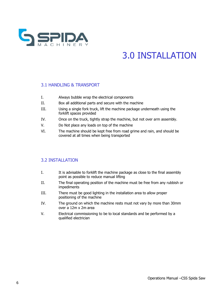

# 3.0 INSTALLATION

#### 3.1 HANDLING & TRANSPORT

- I. Always bubble wrap the electrical components
- II. Box all additional parts and secure with the machine
- III. Using a single fork truck, lift the machine package underneath using the forklift spaces provided
- IV. Once on the truck, tightly strap the machine, but not over arm assembly.
- V. Do Not place any loads on top of the machine
- VI. The machine should be kept free from road grime and rain, and should be covered at all times when being transported

#### 3.2 INSTALLATION

- I. It is advisable to forklift the machine package as close to the final assembly point as possible to reduce manual lifting
- II. The final operating position of the machine must be free from any rubbish or impediments
- III. There must be good lighting in the installation area to allow proper positioning of the machine
- IV. The ground on which the machine rests must not vary by more than 30mm over a 12m x 2m area
- V. Electrical commissioning to be to local standards and be performed by a qualified electrician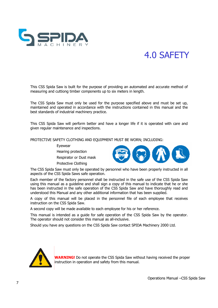

### 4.0 SAFETY

This CSS Spida Saw is built for the purpose of providing an automated and accurate method of measuring and cuttiong timber components up to six meters in length.

The CSS Spida Saw must only be used for the purpose specified above and must be set up, maintained and operated in accordance with the instructions contained in this manual and the best standards of industrial machinery practice.

This CSS Spida Saw will perform better and have a longer life if it is operated with care and given regular maintenance and inspections.

PROTECTIVE SAFETY CLOTHING AND EQUIPMENT MUST BE WORN; INCLUDING:

Eyewear

Hearing protection

Respirator or Dust mask

Protective Clothing



The CSS Spida Saw must only be operated by personnel who have been properly instructed in all aspects of the CSS Spida Saws safe operation.

Each member of the factory personnel shall be instructed in the safe use of the CSS Spida Saw using this manual as a guideline and shall sign a copy of this manual to indicate that he or she has been instructed in the safe operation of the CSS Spida Saw and have thoroughly read and understood this Manual and any other additional information that has been supplied.

A copy of this manual will be placed in the personnel file of each employee that receives instruction on the CSS Spida Saw.

A second copy will be made available to each employee for his or her reference.

This manual is intended as a guide for safe operation of the CSS Spida Saw by the operator. The operator should not consider this manual as all-inclusive.

Should you have any questions on the CSS Spida Saw contact SPIDA Machinery 2000 Ltd.



**WARNING!** Do not operate the CSS Spida Saw without having received the proper instruction in operation and safety from this manual.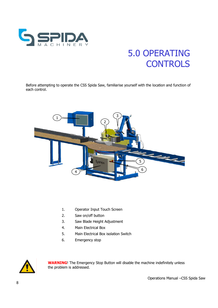

# 5.0 OPERATING **CONTROLS**

Before attempting to operate the CSS Spida Saw, familiarise yourself with the location and function of each control.



- 1. Operator Input Touch Screen
- 2. Saw on/off button
- 3. Saw Blade Height Adjustment
- 4. Main Electrical Box
- 5. Main Electrical Box isolation Switch
- 6. Emergency stop



**WARNING**! The Emergency Stop Button will disable the machine indefinitely unless the problem is addressed.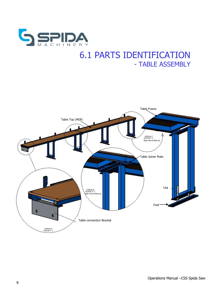

#### 6.1 PARTS IDENTIFICATION - TABLE ASSEMBLY

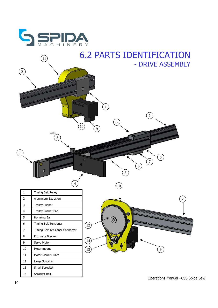

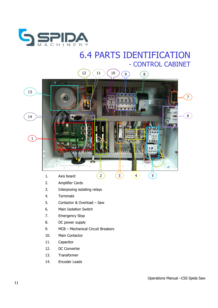

#### 6.4 PARTS IDENTIFICATION - CONTROL CABINET



- 2. Amplifier Cards
- 3. Interposing isolating relays
- 4. Terminals
- 5. Contactor & Overload Saw
- 6. Main Isolation Switch
- 7. Emergency Stop
- 8. DC power supply
- 9. MCB Mechanical Circuit Breakers
- 10. Main Contactor
- 11. Capacitor
- 12. DC Converter
- 13. Transformer
- 14. Encoder Leads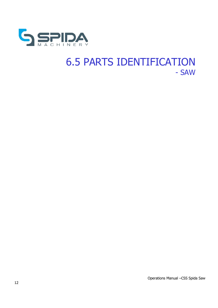

### 6.5 PARTS IDENTIFICATION - SAW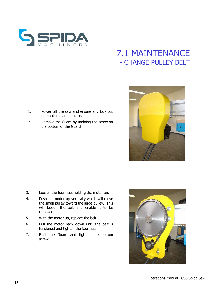

#### 7.1 MAINTENANCE - CHANGE PULLEY BELT

- 1. Power off the saw and ensure any lock out proceedures are in place.
- 2. Remove the Guard by undoing the screw on the bottom of the Guard.
- 

- 3. Loosen the four nuts holding the motor on.
- 4. Push the motor up vertically which will move the small pulley toward the large pulley. This will loosen the belt and enable it to be removed.
- 5. With the motor up, replace the belt.
- 6. Pull the motor back down until the belt is tensioned and tighten the four nuts.
- 7. Refit the Guard and tighten the bottom screw.

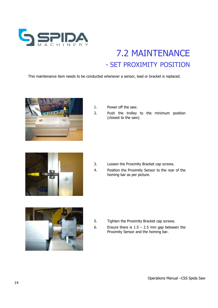

### 7.2 MAINTENANCE - SET PROXIMITY POSITION

This maintenance item needs to be conducted whenever a sensor, lead or bracket is replaced.



- 1. Power off the saw.
- 2. Push the trolley to the minimum position (closest to the saw).



- 
- 3. Loosen the Proximity Bracket cap screws.
- 4. Position the Proximity Sensor to the rear of the homing bar as per picture.



- 5. Tighten the Proximity Bracket cap screws.
- 6. Ensure there is  $1.5 2.5$  mm gap between the Proximity Sensor and the homing bar.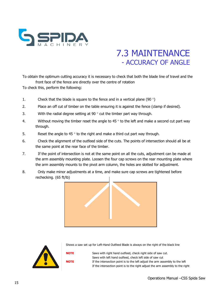

#### 7.3 MAINTENANCE - ACCURACY OF ANGLE

To obtain the optimum cutting accuracy it is necessary to check that both the blade line of travel and the front face of the fence are directly over the centre of rotation

To check this, perform the following:

- 1. Check that the blade is square to the fence and in a vertical plane (90 $\degree$ )
- 2. Place an off cut of timber on the table ensuring it is against the fence (clamp if desired).
- 3. With the radial degree setting at 90 $\degree$  cut the timber part way through.
- 4. Without moving the timber reset the angle to 45  $\degree$  to the left and make a second cut part way through.
- 5. Reset the angle to 45  $\degree$  to the right and make a third cut part way through.
- 6. Check the alignment of the outfeed side of the cuts. The points of intersection should all be at the same point at the rear face of the timber.
- 7. If the point of intersection is not at the same point on all the cuts, adjustment can be made at the arm assembly mounting plate. Loosen the four cap screws on the rear mounting plate where the arm assembly mounts to the pivot arm column, the holes are slotted for adjustment.
- 8. Only make minor adjustments at a time, and make sure cap screws are tightened before rechecking. (65 ft/lb)





Shows a saw set up for Left-Hand Outfeed Blade is always on the right of the black line

**NOTE** Saws with right hand outfeed, check right side of saw cut. Saws with left hand outfeed, check left side of saw cut **NOTE** If the intersection point is to the left adjust the arm assembly to the left If the intersection point is to the right adjust the arm assembly to the right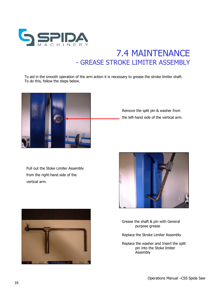

#### 7.4 MAINTENANCE - GREASE STROKE LIMITER ASSEMBLY

To aid in the smooth operation of the arm action it is necessary to grease the stroke limiter shaft. To do this, follow the steps below.



Remove the split pin & washer from the left-hand side of the vertical arm.

Pull out the Stoke Limiter Assembly from the right-hand side of the vertical arm.





Grease the shaft & pin with General purpose grease

Replace the Stroke Limiter Assembly

Replace the washer and Insert the split pin into the Stoke limiter Assembly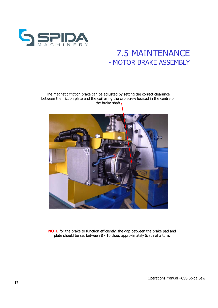

#### 7.5 MAINTENANCE - MOTOR BRAKE ASSEMBLY

The magnetic friction brake can be adjusted by setting the correct clearance between the friction plate and the coil using the cap screw located in the centre of the brake shaft



**NOTE** for the brake to function efficiently, the gap between the brake pad and plate should be set between 8 - 10 thou, approximately 5/8th of a turn.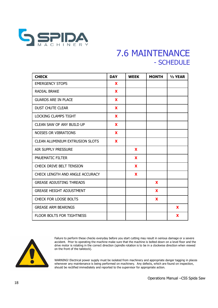

#### 7.6 MAINTENANCE - SCHEDULE

| <b>CHECK</b>                           | <b>DAY</b> | <b>WEEK</b> | <b>MONTH</b> | $1/2$ YEAR |
|----------------------------------------|------------|-------------|--------------|------------|
| <b>EMERGENCY STOPS</b>                 | <b>X</b>   |             |              |            |
| <b>RADIAL BRAKE</b>                    | X          |             |              |            |
| <b>GUARDS ARE IN PLACE</b>             | <b>X</b>   |             |              |            |
| <b>DUST CHUTE CLEAR</b>                | X          |             |              |            |
| <b>LOCKING CLAMPS TIGHT</b>            | X          |             |              |            |
| <b>CLEAN SAW OF ANY BUILD UP</b>       | <b>X</b>   |             |              |            |
| <b>NOISES OR VIBRATIONS</b>            | X          |             |              |            |
| <b>CLEAN ALUMINIUM EXTRUSION SLOTS</b> | X          |             |              |            |
| AIR SUPPLY PRESSURE                    |            | X           |              |            |
| PNUEMATIC FILTER                       |            | X           |              |            |
| <b>CHECK DRIVE BELT TENSION</b>        |            | X           |              |            |
| CHECK LENGTH AND ANGLE ACCURACY        |            | X           |              |            |
| <b>GREASE ADJUSTING THREADS</b>        |            |             | X            |            |
| <b>GREASE HEIGHT ADJUSTMENT</b>        |            |             | X            |            |
| CHECK FOR LOOSE BOLTS                  |            |             | X            |            |
| <b>GREASE ARM BEARINGS</b>             |            |             |              | X          |
| <b>FLOOR BOLTS FOR TIGHTNESS</b>       |            |             |              | X          |



Failure to perform these checks everyday before you start cutting may result in serious damage or a severe accident. Prior to operating the machine make sure that the machine is bolted down on a level floor and the drive motor is rotating in the correct direction (spindle rotation is to be in a clockwise direction when viewed on the front of the tailstock).

WARNING! Electrical power supply must be isolated from machinery and appropriate danger tagging in places whenever any maintenance is being performed on machinery. Any defects, which are found on inspection, should be rectified immediately and reported to the supervisor for appropriate action.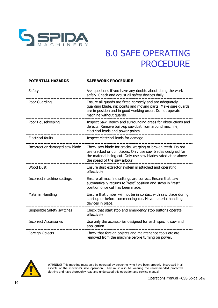

| <b>SAFE WORK PROCEDURE</b>                                                                                                                                                                                                   |
|------------------------------------------------------------------------------------------------------------------------------------------------------------------------------------------------------------------------------|
| Ask questions if you have any doubts about doing the work<br>safely. Check and adjust all safety devices daily.                                                                                                              |
| Ensure all guards are fitted correctly and are adequately<br>guarding blade, nip points and moving parts. Make sure guards<br>are in position and in good working order. Do not operate<br>machine without guards.           |
| Inspect Saw, Bench and surrounding areas for obstructions and<br>defects. Remove built-up sawdust from around machine,<br>electrical leads and power points.                                                                 |
| Inspect electrical leads for damage                                                                                                                                                                                          |
| Check saw blade for cracks, warping or broken teeth. Do not<br>use cracked or dull blades. Only use saw blades designed for<br>the material being cut. Only use saw blades rated at or above<br>the speed of the saw arbour. |
| Ensure dust extractor system is attached and operating<br>effectively                                                                                                                                                        |
| Ensure all machine settings are correct. Ensure that saw<br>automatically returns to "rest" position and stays in "rest"<br>position once cut has been made.                                                                 |
| Ensure that timber will not be in contact with saw blade during<br>start up or before commencing cut. Have material handling<br>devices in place.                                                                            |
| Check that start stop and emergency stop buttons operate<br>effectively                                                                                                                                                      |
| Use only the accessories designed for each specific saw and<br>application                                                                                                                                                   |
| Check that foreign objects and maintenance tools etc are<br>removed from the machine before turning on power.                                                                                                                |
|                                                                                                                                                                                                                              |



WARNING! This machine must only be operated by personnel who have been properly instructed in all aspects of the machine's safe operation. They must also be wearing the recommended protective clothing and have thoroughly read and understood this operation and service manual.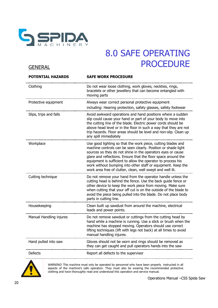

#### **GENERAL**

| Clothing<br>Do not wear loose clothing, work gloves, neckties, rings,<br>bracelets or other jewellery that can become entangled with<br>moving parts<br>Protective equipment<br>Always wear correct personal protective equipment<br>including: Hearing protection, safety glasses, safety footwear<br>Slips, trips and falls<br>Avoid awkward operations and hand positions where a sudden<br>slip could cause your hand or part of your body to move into<br>the cutting line of the blade. Electric power cords should be<br>above head level or in the floor in such a way that they are not<br>trip hazards. Floor areas should be level and non-slip. Clean up<br>any spill immediately<br>Workplace<br>Use good lighting so that the work piece, cutting blades and<br>machine controls can be seen clearly. Position or shade light<br>sources so they do not shine in the operators eyes or cause<br>glare and reflections. Ensure that the floor space around the<br>equipment is sufficient to allow the operator to process his<br>work without bumping into other staff or equipment. Keep the<br>work area free of clutter, clean, well swept and well lit.<br>Do not remove your hand from the operator handle unless the<br>Cutting technique<br>cutting head is behind the fence. Use the back guide fence or<br>other device to keep the work piece from moving. Make sure<br>when cutting that your off cut is on the outside of the blade to<br>avoid the piece being pulled into the blade. Do not place body<br>parts in cutting line.<br>Housekeeping<br>Clean built up sawdust from around the machine, electrical<br>leads and power points.<br>Do not remove sawdust or cuttings from the cutting head by<br>Manual Handling injures<br>hand while a machine is running. Use a stick or brush when the<br>machine has stopped moving. Operators should use correct<br>lifting techniques (lift with legs not back) at all times to avoid<br>manual handling injures.<br>Gloves should not be worn and rings should be removed as<br>Hand pulled into saw<br>they can get caught and pull operators hands into the saw<br><b>Defects</b><br>Report all defects to the supervisor | POTENTIAL HAZARDS | <b>SAFE WORK PROCEDURE</b> |
|-----------------------------------------------------------------------------------------------------------------------------------------------------------------------------------------------------------------------------------------------------------------------------------------------------------------------------------------------------------------------------------------------------------------------------------------------------------------------------------------------------------------------------------------------------------------------------------------------------------------------------------------------------------------------------------------------------------------------------------------------------------------------------------------------------------------------------------------------------------------------------------------------------------------------------------------------------------------------------------------------------------------------------------------------------------------------------------------------------------------------------------------------------------------------------------------------------------------------------------------------------------------------------------------------------------------------------------------------------------------------------------------------------------------------------------------------------------------------------------------------------------------------------------------------------------------------------------------------------------------------------------------------------------------------------------------------------------------------------------------------------------------------------------------------------------------------------------------------------------------------------------------------------------------------------------------------------------------------------------------------------------------------------------------------------------------------------------------------------------------------------------------------------------------------------------------------------------|-------------------|----------------------------|
|                                                                                                                                                                                                                                                                                                                                                                                                                                                                                                                                                                                                                                                                                                                                                                                                                                                                                                                                                                                                                                                                                                                                                                                                                                                                                                                                                                                                                                                                                                                                                                                                                                                                                                                                                                                                                                                                                                                                                                                                                                                                                                                                                                                                           |                   |                            |
|                                                                                                                                                                                                                                                                                                                                                                                                                                                                                                                                                                                                                                                                                                                                                                                                                                                                                                                                                                                                                                                                                                                                                                                                                                                                                                                                                                                                                                                                                                                                                                                                                                                                                                                                                                                                                                                                                                                                                                                                                                                                                                                                                                                                           |                   |                            |
|                                                                                                                                                                                                                                                                                                                                                                                                                                                                                                                                                                                                                                                                                                                                                                                                                                                                                                                                                                                                                                                                                                                                                                                                                                                                                                                                                                                                                                                                                                                                                                                                                                                                                                                                                                                                                                                                                                                                                                                                                                                                                                                                                                                                           |                   |                            |
|                                                                                                                                                                                                                                                                                                                                                                                                                                                                                                                                                                                                                                                                                                                                                                                                                                                                                                                                                                                                                                                                                                                                                                                                                                                                                                                                                                                                                                                                                                                                                                                                                                                                                                                                                                                                                                                                                                                                                                                                                                                                                                                                                                                                           |                   |                            |
|                                                                                                                                                                                                                                                                                                                                                                                                                                                                                                                                                                                                                                                                                                                                                                                                                                                                                                                                                                                                                                                                                                                                                                                                                                                                                                                                                                                                                                                                                                                                                                                                                                                                                                                                                                                                                                                                                                                                                                                                                                                                                                                                                                                                           |                   |                            |
|                                                                                                                                                                                                                                                                                                                                                                                                                                                                                                                                                                                                                                                                                                                                                                                                                                                                                                                                                                                                                                                                                                                                                                                                                                                                                                                                                                                                                                                                                                                                                                                                                                                                                                                                                                                                                                                                                                                                                                                                                                                                                                                                                                                                           |                   |                            |
|                                                                                                                                                                                                                                                                                                                                                                                                                                                                                                                                                                                                                                                                                                                                                                                                                                                                                                                                                                                                                                                                                                                                                                                                                                                                                                                                                                                                                                                                                                                                                                                                                                                                                                                                                                                                                                                                                                                                                                                                                                                                                                                                                                                                           |                   |                            |
|                                                                                                                                                                                                                                                                                                                                                                                                                                                                                                                                                                                                                                                                                                                                                                                                                                                                                                                                                                                                                                                                                                                                                                                                                                                                                                                                                                                                                                                                                                                                                                                                                                                                                                                                                                                                                                                                                                                                                                                                                                                                                                                                                                                                           |                   |                            |
|                                                                                                                                                                                                                                                                                                                                                                                                                                                                                                                                                                                                                                                                                                                                                                                                                                                                                                                                                                                                                                                                                                                                                                                                                                                                                                                                                                                                                                                                                                                                                                                                                                                                                                                                                                                                                                                                                                                                                                                                                                                                                                                                                                                                           |                   |                            |



WARNING! This machine must only be operated by personnel who have been properly instructed in all aspects of the machine's safe operation. They must also be wearing the recommended protective clothing and have thoroughly read and understood this operation and service manual.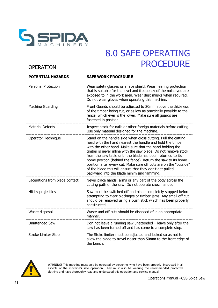

#### **OPERATION**

| <b>POTENTIAL HAZARDS</b>       | <b>SAFE WORK PROCEDURE</b>                                                                                                                                                                                                                                                                                                                                                                                                                                                                                                                                              |
|--------------------------------|-------------------------------------------------------------------------------------------------------------------------------------------------------------------------------------------------------------------------------------------------------------------------------------------------------------------------------------------------------------------------------------------------------------------------------------------------------------------------------------------------------------------------------------------------------------------------|
| Personal Protection            | Wear safety glasses or a face shield. Wear hearing protection<br>that is suitable for the level and frequency of the noise you are<br>exposed to in the work area. Wear dust masks when required.<br>Do not wear gloves when operating this machine.                                                                                                                                                                                                                                                                                                                    |
| <b>Machine Guarding</b>        | Front Guards should be adjusted to 20mm above the thickness<br>of the timber being cut, or as low as practically possible to the<br>fence, which ever is the lower. Make sure all guards are<br>fastened in position.                                                                                                                                                                                                                                                                                                                                                   |
| <b>Material Defects</b>        | Inspect stock for nails or other foreign materials before cutting.<br>Use only material designed for the machine.                                                                                                                                                                                                                                                                                                                                                                                                                                                       |
| Operator Technique             | Stand on the handle side when cross cutting. Pull the cutting<br>head with the hand nearest the handle and hold the timber<br>with the other hand. Make sure that the hand holding the<br>timber is never inline with the saw blade. Do not remove stock<br>from the saw table until the blade has been returned to its<br>home position (behind the fence). Return the saw to its home<br>position after every cut. Make sure off cuts are on the "outside"<br>of the blade this will ensure that they don't get pulled<br>backward into the blade minimising jamming. |
| Lacerations from blade contact | Never place hands, arms or any part of the body across the<br>cutting path of the saw. Do not operate cross handed                                                                                                                                                                                                                                                                                                                                                                                                                                                      |
| Hit by projectiles             | Saw must be switched off and blade completely stopped before<br>attempting to clear blockages or timber jams. Any small off cut<br>should be removed using a push stick which has been properly<br>constructed.                                                                                                                                                                                                                                                                                                                                                         |
| Waste disposal                 | Waste and off cuts should be disposed of in an appropriate<br>manner.                                                                                                                                                                                                                                                                                                                                                                                                                                                                                                   |
| <b>Unattended Saw</b>          | Don not leave a running saw unattended $-$ leave only after the<br>saw has been turned off and has come to a complete stop.                                                                                                                                                                                                                                                                                                                                                                                                                                             |
| <b>Stroke Limiter Stop</b>     | The Stoke limiter must be adjusted and locked so as not to<br>allow the blade to travel closer than 50mm to the front edge of<br>the bench.                                                                                                                                                                                                                                                                                                                                                                                                                             |



WARNING! This machine must only be operated by personnel who have been properly instructed in all aspects of the machine's safe operation. They must also be wearing the recommended protective clothing and have thoroughly read and understood this operation and service manual.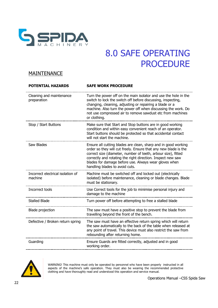

#### **MAINTENANCE**

| <b>POTENTIAL HAZARDS</b>                     | <b>SAFE WORK PROCEDURE</b>                                                                                                                                                                                                                                                                                                                                   |
|----------------------------------------------|--------------------------------------------------------------------------------------------------------------------------------------------------------------------------------------------------------------------------------------------------------------------------------------------------------------------------------------------------------------|
| Cleaning and maintenance<br>preparation      | Turn the power off on the main isolator and use the hole in the<br>switch to lock the switch off before discussing, inspecting,<br>changing, cleaning, adjusting or repairing a blade or a<br>machine. Also turn the power off when discussing the work. Do<br>not use compressed air to remove sawdust etc from machines<br>or clothing.                    |
| Stop / Start Buttons                         | Make sure that Start and Stop buttons are in good working<br>condition and within easy convenient reach of an operator.<br>Start buttons should be protected so that accidental contact<br>will not start the machine.                                                                                                                                       |
| Saw Blades                                   | Ensure all cutting blades are clean, sharp and in good working<br>order so they will cut freely. Ensure that any new blade is the<br>correct size (diameter, number of teeth, arbour size), fitted<br>correctly and rotating the right direction. Inspect new saw<br>blades for damage before use. Always wear gloves when<br>handling blades to avoid cuts. |
| Incorrect electrical isolation of<br>machine | Machine must be switched off and locked out (electrically<br>isolated) before maintenance, cleaning or blade changes. Blade<br>must be stationary.                                                                                                                                                                                                           |
| Incorrect tools                              | Use Correct tools for the job to minimise personal injury and<br>damage to the machine                                                                                                                                                                                                                                                                       |
| <b>Stalled Blade</b>                         | Turn power off before attempting to free a stalled blade                                                                                                                                                                                                                                                                                                     |
| Blade projection                             | The saw must have a positive stop to prevent the blade from<br>travelling beyond the front of the bench.                                                                                                                                                                                                                                                     |
| Defective / Broken return spring             | The saw must have an effective return spring which will return<br>the saw automatically to the back of the table when released at<br>any point of travel. This device must also restrict the saw from<br>rebounding after returning home.                                                                                                                    |
| Guarding                                     | Ensure Guards are fitted correctly, adjusted and in good<br>working order.                                                                                                                                                                                                                                                                                   |
|                                              |                                                                                                                                                                                                                                                                                                                                                              |



WARNING! This machine must only be operated by personnel who have been properly instructed in all aspects of the machine's safe operation. They must also be wearing the recommended protective clothing and have thoroughly read and understood this operation and service manual.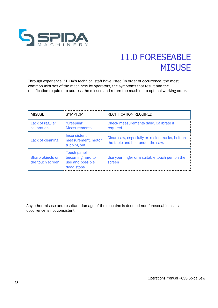

## 11.0 FORESEABLE **MISUSE**

Through experience, SPIDA's technical staff have listed (in order of occurrence) the most common misuses of the machinery by operators, the symptoms that result and the rectification required to address the misuse and return the machine to optimal working order.

| <b>MISUSE</b>                        | <b>SYMPTOM</b>                                                           | RECTIFICATION REQUIRED                                                               |
|--------------------------------------|--------------------------------------------------------------------------|--------------------------------------------------------------------------------------|
| Lack of regular<br>calibration       | 'Creeping'<br><b>Measurements</b>                                        | Check measurements daily, Calibrate if<br>required.                                  |
| Lack of cleaning                     | Inconsistent<br>measurement, motor<br>tripping out                       | Clean saw, especially extrusion tracks, belt on<br>the table and belt under the saw. |
| Sharp objects on<br>the touch screen | <b>Touch panel</b><br>becoming hard to<br>use and possible<br>dead stops | Use your finger or a suitable touch pen on the<br>screen                             |

Any other misuse and resultant damage of the machine is deemed non-foreseeable as its occurrence is not consistent.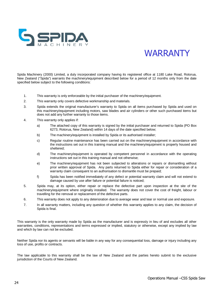

### WARRANTY

Spida Machinery (2000) Limited, a duly incorporated company having its registered office at 1180 Lake Road, Rotorua, New Zealand ("Spida") warrants the machinery/equipment described below for a period of 12 months only from the date specified below subject to the following conditions:

- 1. This warranty is only enforceable by the initial purchaser of the machinery/equipment.
- 2. This warranty only covers defective workmanship and materials.
- 3. Spida extends the original manufacturer's warranty to Spida on all items purchased by Spida and used on this machinery/equipment including motors, saw blades and air cylinders or other such purchased items but does not add any further warranty to those items.
- 4. This warranty only applies if:
	- a) The attached copy of this warranty is signed by the initial purchaser and returned to Spida (PO Box 6273, Rotorua, New Zealand) within 14 days of the date specified below;
	- b) The machinery/equipment is installed by Spida or its authorised installer;
	- c) Regular routine maintenance has been carried out on the machinery/equipment in accordance with the instructions set out in this training manual and the machinery/equipment is properly housed and sheltered;
	- d) The machinery/equipment is operated by competent personnel in accordance with the operating instructions set out in this training manual and not otherwise;
	- e) The machinery/equipment has not been subjected to alterations or repairs or dismantling without prior written approval of Spida. Any parts returned to Spida either for repair or consideration of a warranty claim consequent to an authorisation to dismantle must be prepaid:
	- f) Spida has been notified immediately of any defect or potential warranty claim and will not extend to damage caused by use after failure or potential failure is noticed;
- 5. Spida may, at its option, either repair or replace the defective part upon inspection at the site of the machinery/equipment where originally installed. The warranty does not cover the cost of freight, labour or travelling for the removal or replacement of the defective parts.
- 6. This warranty does not apply to any deterioration due to average wear and tear or normal use and exposure.
- 7. In all warranty matters, including any question of whether this warranty applies to any claim, the decision of Spida is final.

This warranty is the only warranty made by Spida as the manufacturer and is expressly in lieu of and excludes all other warranties, conditions, representations and terms expressed or implied, statutory or otherwise, except any implied by law and which by law can not be excluded.

Neither Spida nor its agents or servants will be liable in any way for any consequential loss, damage or injury including any loss of use, profits or contracts.

The law applicable to this warranty shall be the law of New Zealand and the parties hereto submit to the exclusive jurisdiction of the Courts of New Zealand.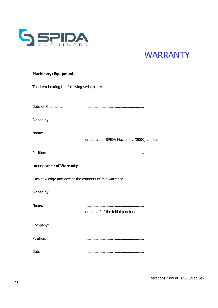

### **WARRANTY**

#### **Machinery/Equipment**

The item bearing the following serial plate:

| Date of Shipment:                                       |                                             |  |  |
|---------------------------------------------------------|---------------------------------------------|--|--|
| Signed by:                                              |                                             |  |  |
| Name:                                                   | on behalf of SPIDA Machinery (2000) Limited |  |  |
| Position:                                               |                                             |  |  |
| <b>Acceptance of Warranty</b>                           |                                             |  |  |
| I acknowledge and accept the contents of this warranty. |                                             |  |  |
| Signed by:                                              |                                             |  |  |
| Name:                                                   | on behalf of the initial purchaser          |  |  |
| Company:                                                |                                             |  |  |
| Position:                                               |                                             |  |  |
| Date:                                                   |                                             |  |  |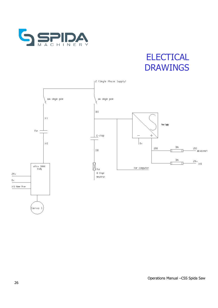

# **ELECTICAL** DRAWINGS